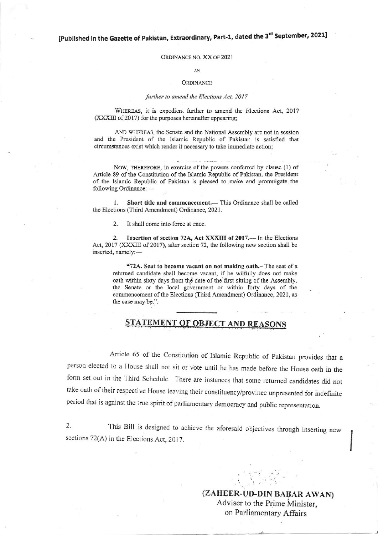[Published in the Gazette of Pakistan, Extraordinary, Part-1, dated the 3<sup>rd</sup> September, 2021]

## ORDINANCE NO. XX OF 2021

#### AN

### **ORDINANCE**

### further to amend the Elections Act, 2017

WHEREAS, it is expedient further to amend the Elections Act, 2017 (XXXIII of 2017) for the purposes hereinafter appearing;

AND WHEREAS, the Senate and the National Assembly are not in session and the President of the Islamic Republic of Pakistan is satisfied that circumstances exist which render it necessary to take immediate action;

NOW, THEREFORE, in exercise of the powers conferred by clause (1) of Article 89 of the Constitution of the Islamic Republic of Pakistan, the President of the Islamic Republic of Pakistan is pleased to make and promulgate the following Ordinance:-

Short title and commencement.- This Ordinance shall be called  $\mathbf{1}$ the Elections (Third Amendment) Ordinance, 2021.

 $2.$ It shall come into force at once.

 $2.$ Insertion of section 72A, Act XXXIII of 2017. - In the Elections Act, 2017 (XXXIII of 2017), after section 72, the following new section shall be inserted, namely:-

"72A. Seat to become vacant on not making oath.- The seat of a returned candidate shall become vacant, if he wilfully does not make oath within sixty days from the date of the first sitting of the Assembly, the Senate or the local government or within forty days of the commencement of the Elections (Third Amendment) Ordinance, 2021, as the case may be.".

## **ATEMENT OF OBJECT AND REASONS**

Article 65 of the Constitution of Islamic Republic of Pakistan provides that a person elected to a House shall not sit or vote until he has made before the House oath in the form set out in the Third Schedule. There are instances that some returned candidates did not take oath of their respective House leaving their constituency/province unpresented for indefinite period that is against the true spirit of parliamentary democracy and public representation.

 $2.$ This Bill is designed to achieve the aforesaid objectives through inserting new sections 72(A) in the Elections Act, 2017.

> (ZAHEER-UD-DIN BABAR AWAN) Adviser to the Prime Minister. on Parliamentary Affairs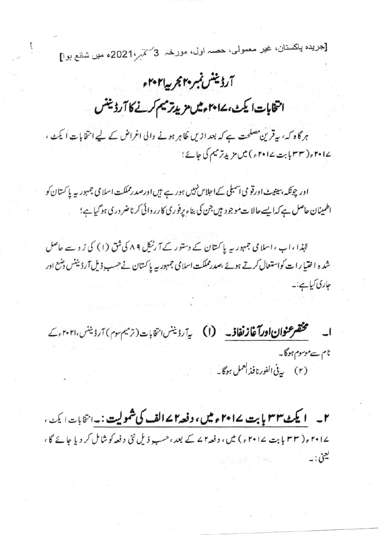[جريده پاکستان، غير معمولي، حصہ اول، مورخہ 3کممر،2021ء میں شانع ہوا]

## آرڈینٹس نمبر ۲۰ مجربہ ۲۰۲۱ء

انتخابات ايكث، ١٤ مامش مزيدتر ميم كرنے كا آرڈينس

ہر گاہ کہ، بیرقرین مصلحت ہے کہ بعد ازیں ظاہر ہونے والی اغراض کے لیے انتخابات ایکٹ، ےا دrس( ۳۳ بابت ۲۰۱۷ ء ) میں مزیدِ ترمیم کی جائے ؛

اور چونکہ،سینیٹ اورقو می اسمبلی کےاحلاس نہیں ہور ہے ہیں اورصد رمملکت اسلامی جمہور <sub>سے</sub> پاکستان کو اطمینان حاصل ہے کہ ایسے حالات موجود ہیں جن کی بناء پرفوری کارروائی کرنا ضروری ہوگیاہے؛

لہٰذا ،اب ،اسلامی جمہور یہ پاکستان کے دستور کے آ رنیکل ۸۹ کی شق (۱) کی ز و سے حاصل شدہ اختیارات کواستعال کرتے ہوئے ،صدرمملکت اسلامی جمہور پہ پاکستان نے حسب ذیل آرڈیننس دمنع اور جاری کیاہے:۔

مختصر عنوان اورآغاز نغاذ - (I) برآردينس بتخابات (ترميم موم) آردينس، ٢٠٢١, ك  $\Box$ نام سے موسوم ہوگا۔ 

۲\_ ایکٹ ۳۳ پابت ۲۰۱۷ء میں، دفعہ ۲ ۷ الف کی شمولیت :۔ انٹابات ایکٹ ، ۲۰۱۷ و( ۳۳ بابت ۲۰۱۷ و) میں، د فعہ ۲ کے بعد ،حسب ذیل نئی د فعہ کوشامل کر دیا جائے گا ، ليعن: -